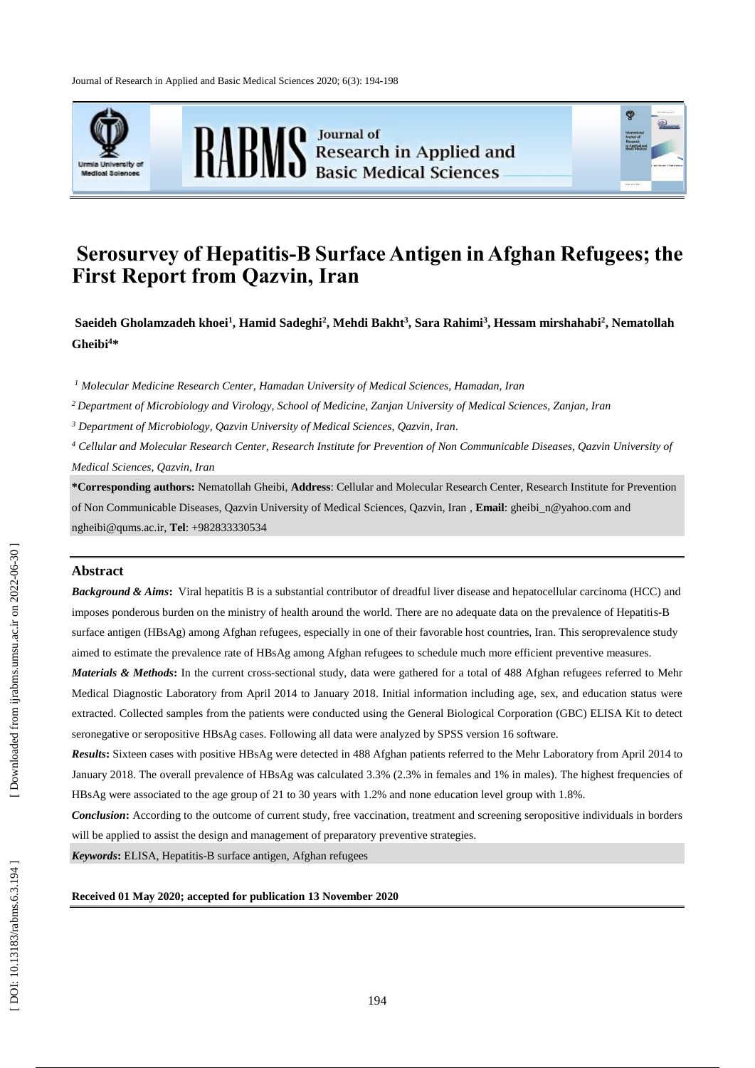Journal of Research in Applied and Basic Medical Sciences 2020; 6 ( 3): 194 - 198





**RABMS** Basic Medical Sciences

# **Serosurvey of Hepatitis-B Surface Antigen in Afghan Refugees; the First Report from Qazvin, Iran**

 $\bf S$ aeideh Gholamzadeh khoei<sup>1</sup>, Hamid Sadeghi<sup>2</sup>, Mehdi Bakht<sup>3</sup>, Sara Rahimi<sup>3</sup>, Hessam mirshahabi<sup>2</sup>, Nematollah **Gheibi 4 \***

*<sup>1</sup> Molecular Medicine Research Center, Hamadan University of Medical Sciences, Hamadan, Iran*

*<sup>2</sup> Department of Microbiology and Virology, School of Medicine, Zanjan University of Medical Sciences, Zanjan, Iran*

*<sup>3</sup> Department of Microbiology, Qazvin University of Medical Sciences, Qazvin, Iran.*

*<sup>4</sup> Cellular and Molecular Research Center, Research Institute for Prevention of Non Communicable Diseases, Qazvin University of Medical Sciences, Qazvin, Iran*

**\*Corresponding authors :** Nematollah Gheibi , **Address** : Cellular and Molecular Research Center, Research Institute for Prevention of Non Communicable Diseases, Qazvin University of Medical Sciences, Qazvin, Iran , **Email**: gheibi\_n@yahoo.com and [ngheibi@qums.ac.ir,](mailto:ngheibi@qums.ac.ir) **Tel**: +982833330534

### **Abstract**

*Background & Aims*: Viral hepatitis B is a substantial contributor of dreadful liver disease and hepatocellular carcinoma (HCC) and imposes ponderous burden on the ministry of health around the world. There are no adequate data on the prevalence of Hepatitis-B surface antigen (HBsAg) among Afghan refugees, especially in one of their favorable host countries, Iran. This seroprevalence study aimed to estimate the prevalence rate of HBsAg among Afghan refugees to schedule much more efficient preventive measures.

*Materials & Methods***:** In the current cross -sectional study, data were gathered for a total of 488 Afghan refugees referred to Mehr Medical Diagnostic Laboratory from April 2014 to January 2018. Initial information including age, sex, and education status were extracted. Collected samples from the patients were conducted using the General Biological Corporation (GBC) ELISA Kit to detect seronegative or seropositive HBsAg cases. Following all data were analyzed by SPSS version 16 software.

*Results***:** Sixteen cases with positive HBsAg were detected in 488 Afghan patients referred to the Mehr Laboratory from April 2014 to January 2018. The overall prevalence of HBsAg was calculated 3.3% (2.3% in females and 1% in males). The highest frequencies of HBsAg were associated to the age group of 21 to 30 years with 1.2% and none education level group with 1.8%.

*Conclusion***:** According to the outcome of current study, free vaccination, treatment and screening seropositive individuals in borders will be applied to assist the design and management of preparatory preventive strategies.

*Keywords***:** ELISA, Hepatitis -B surface antigen, Afghan refugees

#### **Received 0 1 May 2020; accepted for publication 1 3 November 2020**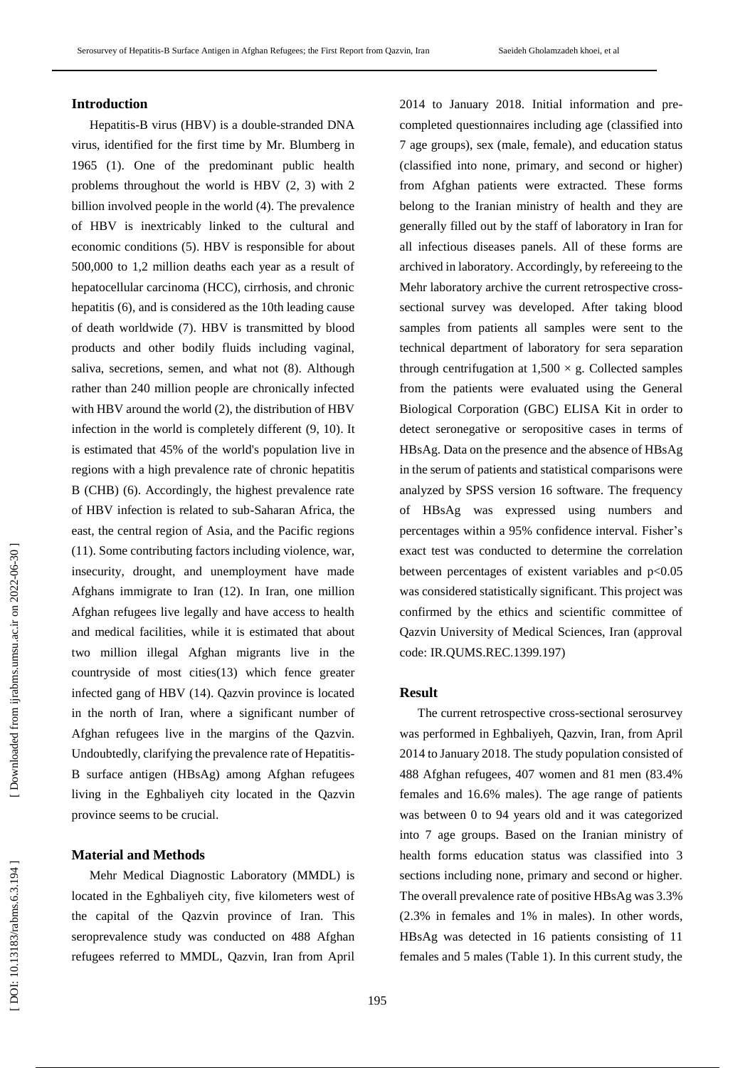### **Introduction**

Hepatitis -B virus (HBV) is a double -stranded DNA virus, identified for the first time by Mr. Blumberg in 1965 (1). One of the predominant public health problems throughout the world is HBV (2, 3) with 2 billion involved people in the world (4). The prevalence of HBV is inextricably linked to the cultural and economic conditions (5) . HBV is responsible for about 500,000 to 1,2 million deaths each year as a result of hepatocellular carcinoma (HCC), cirrhosis, and chronic hepatitis (6), and is considered as the 10th leading cause of death worldwide (7). HBV is transmitted by blood products and other bodily fluids including vaginal, saliva, secretions, semen, and what not (8). Although rather than 240 million people are chronically infected with HBV around the world (2), the distribution of HBV infection in the world is completely different (9, 10) . It is estimated that 45% of the world's population live in regions with a high prevalence rate of chronic hepatitis B (CHB) (6). Accordingly, the highest prevalence rate of HBV infection is related to sub -Saharan Africa, the east, the central region of Asia, and the Pacific regions (11) . Some contributing factors including violence, war, insecurity, drought, and unemployment have made Afghans immigrate to Iran (12). In Iran, one million Afghan refugees live legally and have access to health and medical facilities, while it is estimated that about two million illegal Afghan migrants live in the countryside of most cities(13) which fence greater infected gang of HBV (14) . Qazvin province is located in the north of Iran, where a significant number of Afghan refugees live in the margins of the Qazvin. Undoubtedly, clarifying the prevalence rate of Hepatitis - B surface antigen (HBsAg ) among Afghan refugees living in the Eghbaliyeh city located in the Qazvin province seems to be crucial.

### **Material and Methods**

Mehr Medical Diagnostic Laboratory (MMDL) is located in the Eghbaliyeh city, five kilometers west of the capital of the Qazvin province of Iran. This seroprevalence study was conducted on 488 Afghan refugees referred to MMDL, Qazvin, Iran from April

2014 to January 2018. Initial information and pre completed questionnaires including age (classified into 7 age groups), sex (male, female), and education status (classified into none, primary, and second or higher) from Afghan patients were extracted. These forms belong to the Iranian ministry of health and they are generally filled out by the staff of laboratory in Iran for all infectious disease s panel s. All of these forms are archived in laboratory. Accordingly, by refereeing to the Mehr laboratory archive the current retrospective cross sectional survey was developed. After taking blood samples from patients all samples were sen t to the technical department of laboratory for sera separation through centrifugation at  $1,500 \times g$ . Collected samples from the patients were evaluated using the General Biological Corporation (GBC) ELISA Kit in order to detect seronegative or seropositive cases in terms of HBsAg. Data on the presence and the absence of HBsAg in the serum of patients and statistical comparisons were analyzed by SPSS version 16 software . The frequency of HBsAg was expressed using numbers and percentages within a 95% confidence interval. Fisher's exact test was conducted to determine the correlation between percentages of existent variables and p<0.05 was considered statistically significant. This project was confirmed by the ethics and scientific committee of Qazvin University of Medical Sciences, Iran (approval code: IR.QUMS.REC.1399.197)

### **Result**

The current retrospective cross -sectional serosurvey was performed in Eghbaliyeh, Qazvin, Iran , from April 2014 to January 2018. The study population consisted of 488 Afghan refugees, 407 women and 81 men (83.4% female s and 16.6% males ). The age range of patients was between 0 to 94 years old and it was categorized into 7 age groups . Based on the Iranian ministry of health forms education status was classified into 3 sections including none, primary and second or higher. The overall prevalence rate of positive HBsAg was 3.3% (2.3% in females and 1% in males). In other words, HBsAg was detected in 16 patients consisting of 11 females and 5 males (Table 1). In this current study, the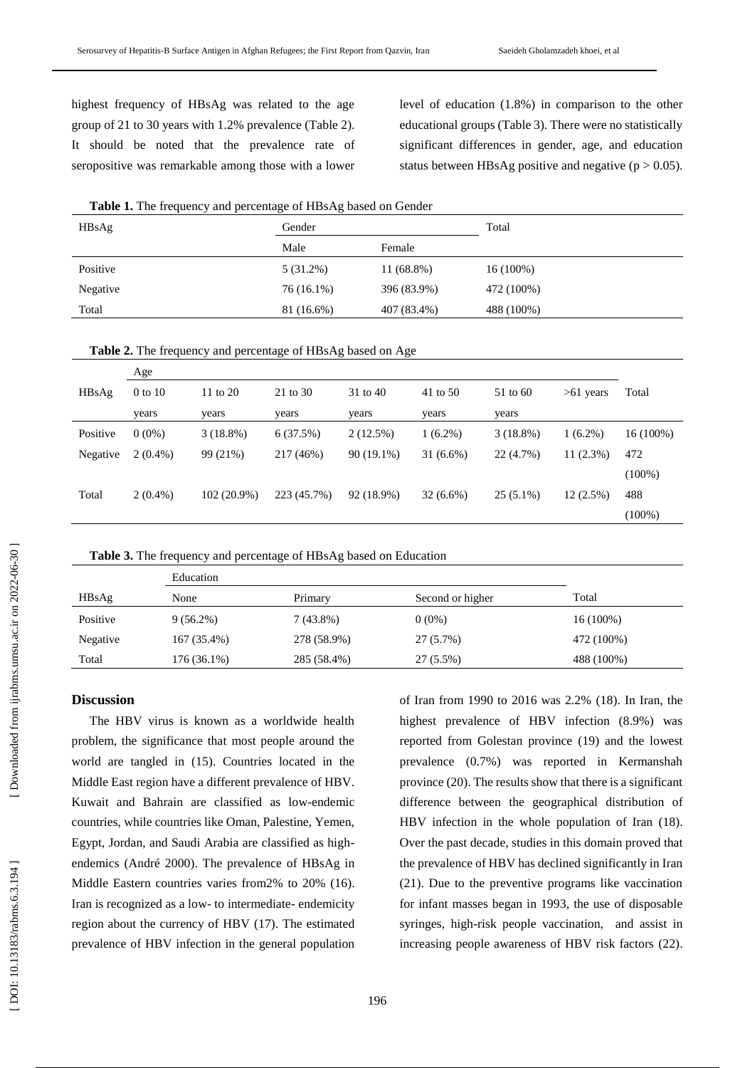highest frequency of HBsAg was related to the age group of 2 1 to 3 0 years with 1.2% prevalence (Table 2). It should be noted that the prevalence rate of seropositive was remarkable among those with a lower

level of education (1. 8%) in comparison to the other educational groups (Table 3). There were no statistically significant differences in gender, age , and education status between HBsAg positive and negative ( $p > 0.05$ ).

| HBsAg    | $\sim$<br>$\sim$<br>Gender |             | Total       |
|----------|----------------------------|-------------|-------------|
|          | Male                       | Female      |             |
| Positive | 5 (31.2%)                  | 11 (68.8%)  | $16(100\%)$ |
| Negative | 76 (16.1%)                 | 396 (83.9%) | 472 (100%)  |
| Total    | 81 (16.6%)                 | 407 (83.4%) | 488 (100%)  |

|  |  |  |  | Table 1. The frequency and percentage of HBsAg based on Gender |  |  |  |  |  |
|--|--|--|--|----------------------------------------------------------------|--|--|--|--|--|
|--|--|--|--|----------------------------------------------------------------|--|--|--|--|--|

|  |  |  |  | Table 2. The frequency and percentage of HBsAg based on Age |
|--|--|--|--|-------------------------------------------------------------|
|--|--|--|--|-------------------------------------------------------------|

|          | Age        |               |             |            |             |             |             |           |
|----------|------------|---------------|-------------|------------|-------------|-------------|-------------|-----------|
| HBsAg    | 0 to 10    | 11 to 20      | 21 to 30    | 31 to 40   | 41 to 50    | 51 to 60    | $>61$ years | Total     |
|          | years      | years         | years       | years      | years       | years       |             |           |
| Positive | $0(0\%)$   | 3(18.8%)      | 6(37.5%)    | 2(12.5%)   | $1(6.2\%)$  | $3(18.8\%)$ | $1(6.2\%)$  | 16 (100%) |
| Negative | $2(0.4\%)$ | 99 (21%)      | 217 (46%)   | 90 (19.1%) | $31(6.6\%)$ | 22 (4.7%)   | 11(2.3%)    | 472       |
|          |            |               |             |            |             |             |             | $(100\%)$ |
| Total    | $2(0.4\%)$ | $102(20.9\%)$ | 223 (45.7%) | 92 (18.9%) | $32(6.6\%)$ | $25(5.1\%)$ | $12(2.5\%)$ | 488       |
|          |            |               |             |            |             |             |             | $(100\%)$ |

| Table 3. The frequency and percentage of HBsAg based on Education |  |  |
|-------------------------------------------------------------------|--|--|
|                                                                   |  |  |

| Education   |             |                            |                  |  |  |
|-------------|-------------|----------------------------|------------------|--|--|
| None        | Primary     |                            | Total            |  |  |
| $9(56.2\%)$ | $7(43.8\%)$ | $0(0\%)$                   | $16(100\%)$      |  |  |
| 167 (35.4%) |             | 27 (5.7%)                  | 472 (100%)       |  |  |
| 176 (36.1%) |             | 27 (5.5%)                  | 488 (100%)       |  |  |
|             |             | 278 (58.9%)<br>285 (58.4%) | Second or higher |  |  |

# **Discussion**

The HBV virus is known as a worldwide health problem, the significance that most people around the world are tangled in (15). Countries located in the Middle East region have a different prevalence of HBV. Kuwait and Bahrain are classified as low -endemic countries, while countries like Oman, Palestine, Yemen, Egypt, Jordan, and Saudi Arabia are classified as high endemics (André 2000). The prevalence of HBsAg in Middle Eastern countries varies from2% to 20% (16). Iran is recognized as a low - to intermediate - endemicity region about the currency of HBV (17). The estimated prevalence of HBV infection in the general population

of Iran from 1990 to 2016 was 2.2% (18). In Iran , the highest prevalence of HBV infection (8.9%) was reported from Golestan province (19 ) and the lowest prevalence (0.7%) was reported in Kermanshah province (20). The results show that there is a significant difference between the geographical distribution of HBV infection in the whole population of Iran (18). Over the past decade, studie s in this domain prove d that the prevalence of HBV has declined significantly in Iran (21). Due to the preventive programs like vaccination for infant masses began in 1993, the use of disposable syringes, high -risk people vaccination, and assist in increasing people awareness of HBV risk factors (22).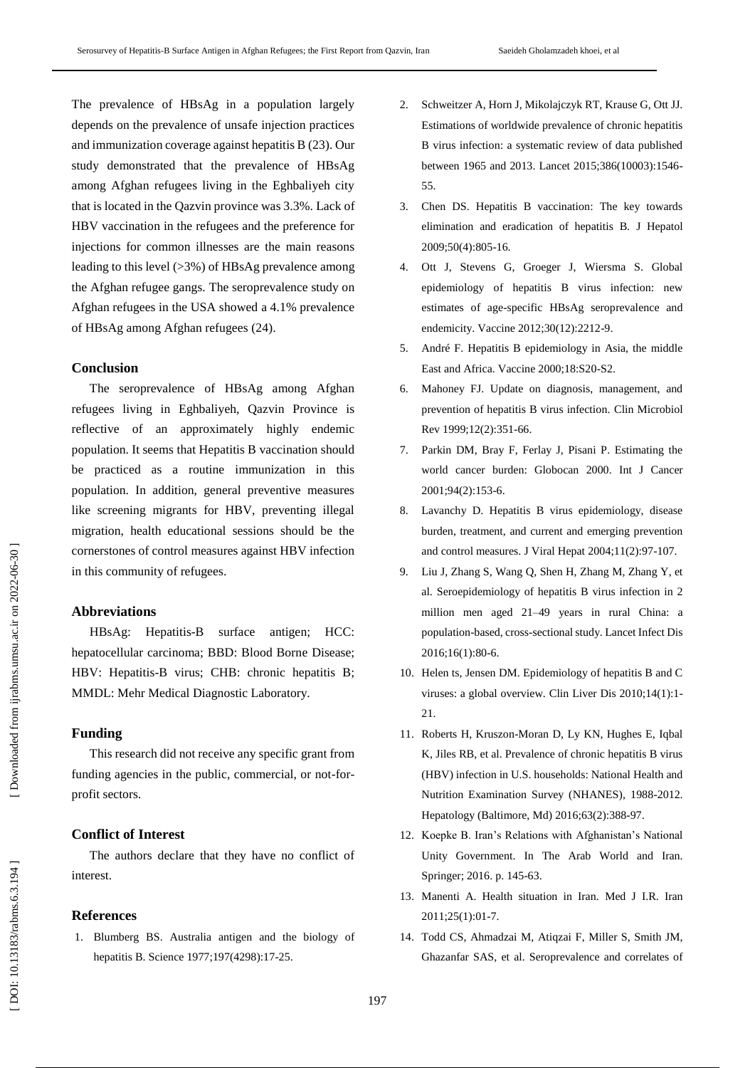The prevalence of HBsAg in a population largely depends on the prevalence of unsafe injection practices and immunization coverage against hepatitis B (23). Our study demonstrated that the prevalence of HBsAg among Afghan refugees living in the Eghbaliyeh city that is located in the Qazvin province was 3.3%. Lack of HBV vaccination in the refugees and the preference for injections for common illnesses are the main reasons leading to this level (>3%) of HBsAg prevalence among the Afghan refugee gangs. The seroprevalence study on Afghan refugees in the USA showed a 4.1% prevalence of HBsAg among Afghan refugees (24).

### **Conclusion**

The seroprevalence of HBsAg among Afghan refugees living in Eghbaliyeh, Qazvin Province is reflective of an approximately highly endemic population. It seems that Hepatitis B vaccination should be practice d as a routine immunization in this population. In addition, general preventive measures like screening migrants for HBV, preventing illegal migration, health educational sessions should be the cornerstones of control measures against HBV infection in this community of refugees.

### **Abbreviations**

HBsAg: Hepatitis -B surface antigen; HCC: hepatocellular carcinoma; BBD: Blood Born e Disease; HBV: Hepatitis -B virus; CHB: chronic hepatitis B; MMDL: Mehr Medical Diagnostic Laboratory.

# **Funding**

This research did not receive any specific grant from funding agencies in the public, commercial, or not-forprofit sectors.

## **Conflict of Interest**

The authors declare that they have no conflict of interest .

### **References**

1. Blumberg BS. Australia antigen and the biology of hepatitis B. Science 1977;197(4298):17 -25.

- 2. Schweitzer A, Horn J, Mikolajczyk RT, Krause G, Ott JJ. Estimations of worldwide prevalence of chronic hepatitis B virus infection: a systematic review of data published between 1965 and 2013. Lancet 2015;386(10003):1546 - 55.
- 3. Chen DS. Hepatitis B vaccination: The key towards elimination and eradication of hepatitis B. J Hepatol 2009;50(4):805 -16.
- 4. Ott J, Stevens G, Groeger J, Wiersma S. Global epidemiology of hepatitis B virus infection: new estimates of age -specific HBsAg seroprevalence and endemicity. Vaccine 2012;30(12):2212 -9.
- 5. André F. Hepatitis B epidemiology in Asia, the middle East and Africa. Vaccine 2000;18:S20 -S2.
- 6. Mahoney FJ. Update on diagnosis, management, and prevention of hepatitis B virus infection. Clin Microbiol Rev 1999;12(2):351 -66.
- 7. Parkin DM, Bray F, Ferlay J, Pisani P. Estimating the world cancer burden: Globocan 2000. Int J Cancer 2001;94(2):153 -6.
- 8. Lavanchy D. Hepatitis B virus epidemiology, disease burden, treatment, and current and emerging prevention and control measures. J Viral Hepat 2004;11(2):97 -107.
- 9. Liu J, Zhang S, Wang Q, Shen H, Zhang M, Zhang Y, et al. Seroepidemiology of hepatitis B virus infection in 2 million men aged 21 –49 years in rural China: a population -based, cross -sectional study. Lancet Infect Dis 2016;16(1):80 -6.
- 10. Helen ts, Jensen DM. Epidemiology of hepatitis B and C viruses: a global overview. Clin Liver Dis 2010;14(1):1 - 21.
- 11. Roberts H, Kruszon -Moran D, Ly KN, Hughes E, Iqbal K, Jiles RB, et al. Prevalence of chronic hepatitis B virus (HBV) infection in U.S. households: National Health and Nutrition Examination Survey (NHANES), 1988 -2012. Hepatology (Baltimore, Md) 2016;63(2):388 -97.
- 12. Koepke B. Iran's Relations with Afghanistan's National Unity Government. In The Arab World and Iran . Springer; 2016. p. 145 -63.
- 13. Manenti A. Health situation in Iran. Med J I.R. Iran 2011;25(1):01 -7.
- 14. Todd CS, Ahmadzai M, Atiqzai F, Miller S, Smith JM, Ghazanfar SAS, et al. Seroprevalence and correlates of